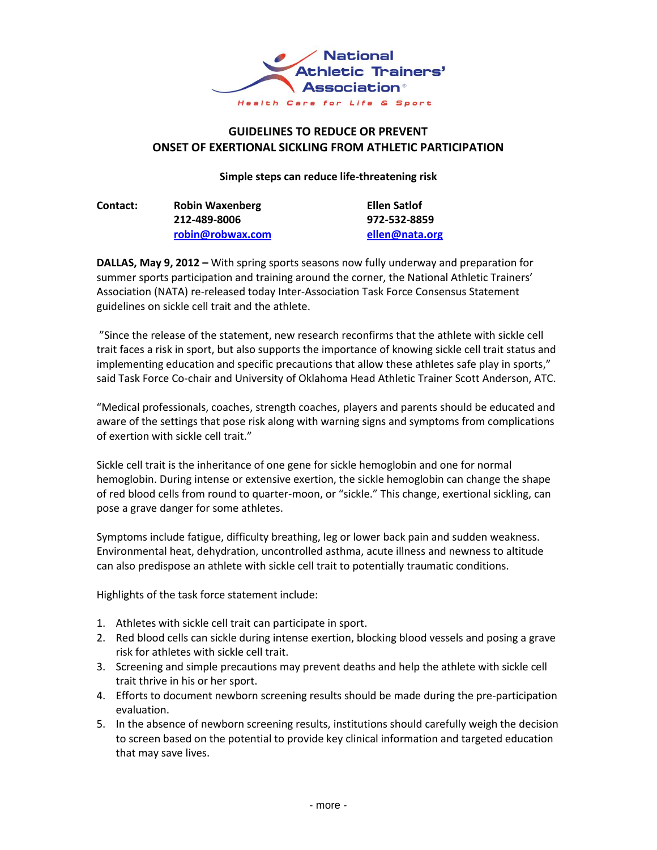

## **GUIDELINES TO REDUCE OR PREVENT ONSET OF EXERTIONAL SICKLING FROM ATHLETIC PARTICIPATION**

## **Simple steps can reduce life-threatening risk**

| <b>Contact:</b> | <b>Robin Waxenberg</b> | Ellen Satlof   |
|-----------------|------------------------|----------------|
|                 | 212-489-8006           | 972-532-8859   |
|                 | robin@robwax.com       | ellen@nata.org |

**DALLAS, May 9, 2012 –** With spring sports seasons now fully underway and preparation for summer sports participation and training around the corner, the National Athletic Trainers' Association (NATA) re-released today Inter-Association Task Force Consensus Statement guidelines on sickle cell trait and the athlete.

"Since the release of the statement, new research reconfirms that the athlete with sickle cell trait faces a risk in sport, but also supports the importance of knowing sickle cell trait status and implementing education and specific precautions that allow these athletes safe play in sports," said Task Force Co-chair and University of Oklahoma Head Athletic Trainer Scott Anderson, ATC.

"Medical professionals, coaches, strength coaches, players and parents should be educated and aware of the settings that pose risk along with warning signs and symptoms from complications of exertion with sickle cell trait."

Sickle cell trait is the inheritance of one gene for sickle hemoglobin and one for normal hemoglobin. During intense or extensive exertion, the sickle hemoglobin can change the shape of red blood cells from round to quarter-moon, or "sickle." This change, exertional sickling, can pose a grave danger for some athletes.

Symptoms include fatigue, difficulty breathing, leg or lower back pain and sudden weakness. Environmental heat, dehydration, uncontrolled asthma, acute illness and newness to altitude can also predispose an athlete with sickle cell trait to potentially traumatic conditions.

Highlights of the task force statement include:

- 1. Athletes with sickle cell trait can participate in sport.
- 2. Red blood cells can sickle during intense exertion, blocking blood vessels and posing a grave risk for athletes with sickle cell trait.
- 3. Screening and simple precautions may prevent deaths and help the athlete with sickle cell trait thrive in his or her sport.
- 4. Efforts to document newborn screening results should be made during the pre-participation evaluation.
- 5. In the absence of newborn screening results, institutions should carefully weigh the decision to screen based on the potential to provide key clinical information and targeted education that may save lives.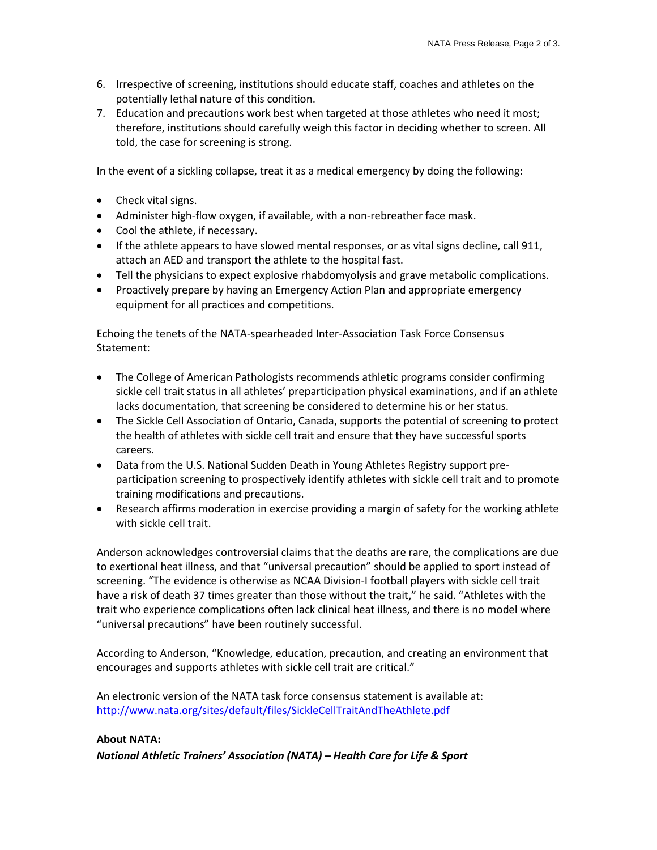- 6. Irrespective of screening, institutions should educate staff, coaches and athletes on the potentially lethal nature of this condition.
- 7. Education and precautions work best when targeted at those athletes who need it most; therefore, institutions should carefully weigh this factor in deciding whether to screen. All told, the case for screening is strong.

In the event of a sickling collapse, treat it as a medical emergency by doing the following:

- Check vital signs.
- Administer high-flow oxygen, if available, with a non-rebreather face mask.
- Cool the athlete, if necessary.
- If the athlete appears to have slowed mental responses, or as vital signs decline, call 911, attach an AED and transport the athlete to the hospital fast.
- Tell the physicians to expect explosive rhabdomyolysis and grave metabolic complications.
- Proactively prepare by having an Emergency Action Plan and appropriate emergency equipment for all practices and competitions.

Echoing the tenets of the NATA-spearheaded Inter-Association Task Force Consensus Statement:

- The College of American Pathologists recommends athletic programs consider confirming sickle cell trait status in all athletes' preparticipation physical examinations, and if an athlete lacks documentation, that screening be considered to determine his or her status.
- The Sickle Cell Association of Ontario, Canada, supports the potential of screening to protect the health of athletes with sickle cell trait and ensure that they have successful sports careers.
- Data from the U.S. National Sudden Death in Young Athletes Registry support preparticipation screening to prospectively identify athletes with sickle cell trait and to promote training modifications and precautions.
- Research affirms moderation in exercise providing a margin of safety for the working athlete with sickle cell trait.

Anderson acknowledges controversial claims that the deaths are rare, the complications are due to exertional heat illness, and that "universal precaution" should be applied to sport instead of screening. "The evidence is otherwise as NCAA Division-I football players with sickle cell trait have a risk of death 37 times greater than those without the trait," he said. "Athletes with the trait who experience complications often lack clinical heat illness, and there is no model where "universal precautions" have been routinely successful.

According to Anderson, "Knowledge, education, precaution, and creating an environment that encourages and supports athletes with sickle cell trait are critical."

An electronic version of the NATA task force consensus statement is available at: <http://www.nata.org/sites/default/files/SickleCellTraitAndTheAthlete.pdf>

## **About NATA:**

*National Athletic Trainers' Association (NATA) – Health Care for Life & Sport*